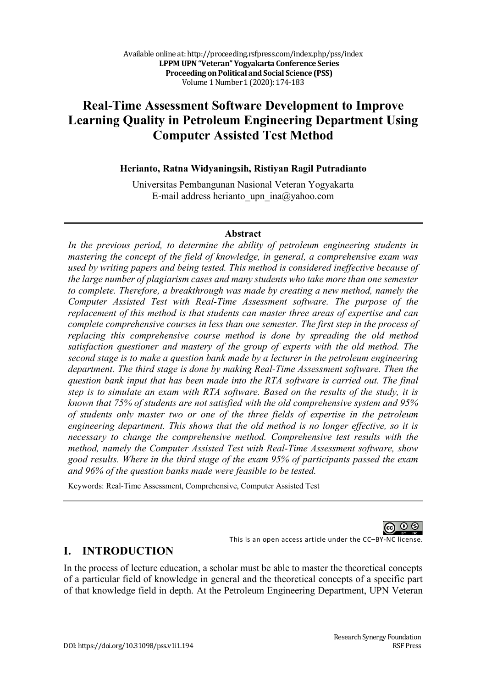# **Real-Time Assessment Software Development to Improve Learning Quality in Petroleum Engineering Department Using Computer Assisted Test Method**

### **Herianto, Ratna Widyaningsih, Ristiyan Ragil Putradianto**

Universitas Pembangunan Nasional Veteran Yogyakarta E-mail address herianto upn  $ina@yahoo.com$ 

### **Abstract**

*In the previous period, to determine the ability of petroleum engineering students in mastering the concept of the field of knowledge, in general, a comprehensive exam was used by writing papers and being tested. This method is considered ineffective because of the large number of plagiarism cases and many students who take more than one semester to complete. Therefore, a breakthrough was made by creating a new method, namely the Computer Assisted Test with Real-Time Assessment software. The purpose of the replacement of this method is that students can master three areas of expertise and can complete comprehensive courses in less than one semester. The first step in the process of replacing this comprehensive course method is done by spreading the old method satisfaction questioner and mastery of the group of experts with the old method. The second stage is to make a question bank made by a lecturer in the petroleum engineering department. The third stage is done by making Real-Time Assessment software. Then the question bank input that has been made into the RTA software is carried out. The final step is to simulate an exam with RTA software. Based on the results of the study, it is known that 75% of students are not satisfied with the old comprehensive system and 95% of students only master two or one of the three fields of expertise in the petroleum engineering department. This shows that the old method is no longer effective, so it is necessary to change the comprehensive method. Comprehensive test results with the method, namely the Computer Assisted Test with Real-Time Assessment software, show good results. Where in the third stage of the exam 95% of participants passed the exam and 96% of the question banks made were feasible to be tested.*

Keywords: Real-Time Assessment, Comprehensive, Computer Assisted Test

This is an open access article under the CC–BY-NC license.

**I. INTRODUCTION**

In the process of lecture education, a scholar must be able to master the theoretical concepts of a particular field of knowledge in general and the theoretical concepts of a specific part of that knowledge field in depth. At the Petroleum Engineering Department, UPN Veteran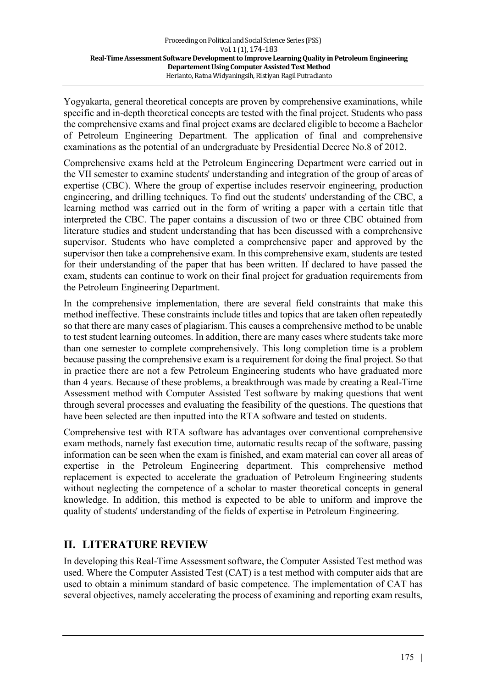Yogyakarta, general theoretical concepts are proven by comprehensive examinations, while specific and in-depth theoretical concepts are tested with the final project. Students who pass the comprehensive exams and final project exams are declared eligible to become a Bachelor of Petroleum Engineering Department. The application of final and comprehensive examinations as the potential of an undergraduate by Presidential Decree No.8 of 2012.

Comprehensive exams held at the Petroleum Engineering Department were carried out in the VII semester to examine students' understanding and integration of the group of areas of expertise (CBC). Where the group of expertise includes reservoir engineering, production engineering, and drilling techniques. To find out the students' understanding of the CBC, a learning method was carried out in the form of writing a paper with a certain title that interpreted the CBC. The paper contains a discussion of two or three CBC obtained from literature studies and student understanding that has been discussed with a comprehensive supervisor. Students who have completed a comprehensive paper and approved by the supervisor then take a comprehensive exam. In this comprehensive exam, students are tested for their understanding of the paper that has been written. If declared to have passed the exam, students can continue to work on their final project for graduation requirements from the Petroleum Engineering Department.

In the comprehensive implementation, there are several field constraints that make this method ineffective. These constraints include titles and topics that are taken often repeatedly so that there are many cases of plagiarism. This causes a comprehensive method to be unable to test student learning outcomes. In addition, there are many cases where students take more than one semester to complete comprehensively. This long completion time is a problem because passing the comprehensive exam is a requirement for doing the final project. So that in practice there are not a few Petroleum Engineering students who have graduated more than 4 years. Because of these problems, a breakthrough was made by creating a Real-Time Assessment method with Computer Assisted Test software by making questions that went through several processes and evaluating the feasibility of the questions. The questions that have been selected are then inputted into the RTA software and tested on students.

Comprehensive test with RTA software has advantages over conventional comprehensive exam methods, namely fast execution time, automatic results recap of the software, passing information can be seen when the exam is finished, and exam material can cover all areas of expertise in the Petroleum Engineering department. This comprehensive method replacement is expected to accelerate the graduation of Petroleum Engineering students without neglecting the competence of a scholar to master theoretical concepts in general knowledge. In addition, this method is expected to be able to uniform and improve the quality of students' understanding of the fields of expertise in Petroleum Engineering.

# **II. LITERATURE REVIEW**

In developing this Real-Time Assessment software, the Computer Assisted Test method was used. Where the Computer Assisted Test (CAT) is a test method with computer aids that are used to obtain a minimum standard of basic competence. The implementation of CAT has several objectives, namely accelerating the process of examining and reporting exam results,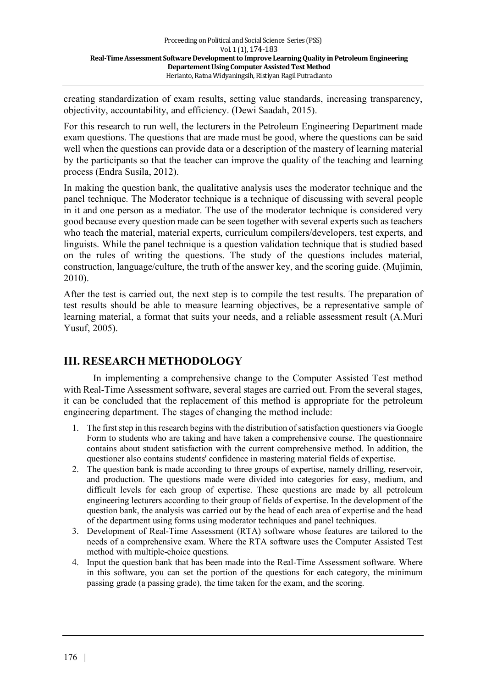creating standardization of exam results, setting value standards, increasing transparency, objectivity, accountability, and efficiency. (Dewi Saadah, 2015).

For this research to run well, the lecturers in the Petroleum Engineering Department made exam questions. The questions that are made must be good, where the questions can be said well when the questions can provide data or a description of the mastery of learning material by the participants so that the teacher can improve the quality of the teaching and learning process (Endra Susila, 2012).

In making the question bank, the qualitative analysis uses the moderator technique and the panel technique. The Moderator technique is a technique of discussing with several people in it and one person as a mediator. The use of the moderator technique is considered very good because every question made can be seen together with several experts such as teachers who teach the material, material experts, curriculum compilers/developers, test experts, and linguists. While the panel technique is a question validation technique that is studied based on the rules of writing the questions. The study of the questions includes material, construction, language/culture, the truth of the answer key, and the scoring guide. (Mujimin, 2010).

After the test is carried out, the next step is to compile the test results. The preparation of test results should be able to measure learning objectives, be a representative sample of learning material, a format that suits your needs, and a reliable assessment result (A.Muri Yusuf, 2005).

# **III. RESEARCH METHODOLOGY**

In implementing a comprehensive change to the Computer Assisted Test method with Real-Time Assessment software, several stages are carried out. From the several stages, it can be concluded that the replacement of this method is appropriate for the petroleum engineering department. The stages of changing the method include:

- 1. The first step in this research begins with the distribution of satisfaction questioners via Google Form to students who are taking and have taken a comprehensive course. The questionnaire contains about student satisfaction with the current comprehensive method. In addition, the questioner also contains students' confidence in mastering material fields of expertise.
- 2. The question bank is made according to three groups of expertise, namely drilling, reservoir, and production. The questions made were divided into categories for easy, medium, and difficult levels for each group of expertise. These questions are made by all petroleum engineering lecturers according to their group of fields of expertise. In the development of the question bank, the analysis was carried out by the head of each area of expertise and the head of the department using forms using moderator techniques and panel techniques.
- 3. Development of Real-Time Assessment (RTA) software whose features are tailored to the needs of a comprehensive exam. Where the RTA software uses the Computer Assisted Test method with multiple-choice questions.
- 4. Input the question bank that has been made into the Real-Time Assessment software. Where in this software, you can set the portion of the questions for each category, the minimum passing grade (a passing grade), the time taken for the exam, and the scoring.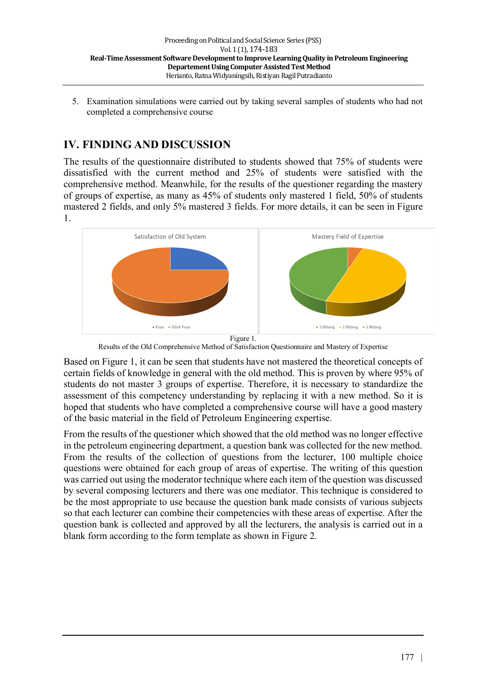5. Examination simulations were carried out by taking several samples of students who had not completed a comprehensive course

# **IV. FINDING AND DISCUSSION**

The results of the questionnaire distributed to students showed that 75% of students were dissatisfied with the current method and 25% of students were satisfied with the comprehensive method. Meanwhile, for the results of the questioner regarding the mastery of groups of expertise, as many as 45% of students only mastered 1 field, 50% of students mastered 2 fields, and only 5% mastered 3 fields. For more details, it can be seen in Figure 1.



Results of the Old Comprehensive Method of Satisfaction Questionnaire and Mastery of Expertise

Based on Figure 1, it can be seen that students have not mastered the theoretical concepts of certain fields of knowledge in general with the old method. This is proven by where 95% of students do not master 3 groups of expertise. Therefore, it is necessary to standardize the assessment of this competency understanding by replacing it with a new method. So it is hoped that students who have completed a comprehensive course will have a good mastery of the basic material in the field of Petroleum Engineering expertise.

From the results of the questioner which showed that the old method was no longer effective in the petroleum engineering department, a question bank was collected for the new method. From the results of the collection of questions from the lecturer, 100 multiple choice questions were obtained for each group of areas of expertise. The writing of this question was carried out using the moderator technique where each item of the question was discussed by several composing lecturers and there was one mediator. This technique is considered to be the most appropriate to use because the question bank made consists of various subjects so that each lecturer can combine their competencies with these areas of expertise. After the question bank is collected and approved by all the lecturers, the analysis is carried out in a blank form according to the form template as shown in Figure 2.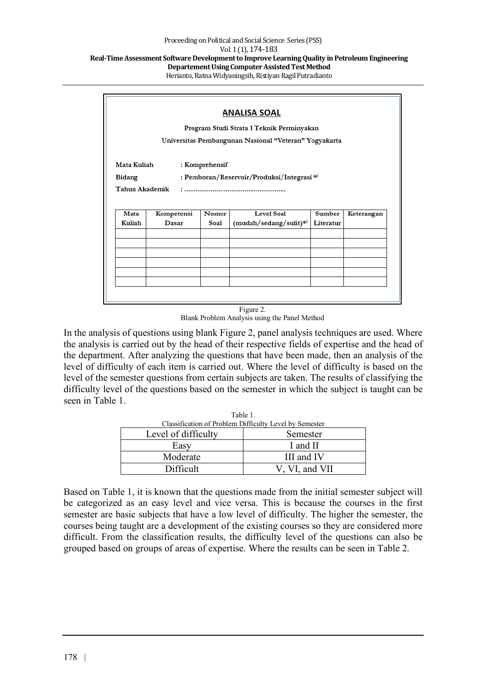| ANALISA SOAL                                          |                                           |       |                           |           |            |
|-------------------------------------------------------|-------------------------------------------|-------|---------------------------|-----------|------------|
|                                                       | Program Studi Strata 1 Teknik Perminyakan |       |                           |           |            |
| Universitas Pembangunan Nasional "Veteran" Yogyakarta |                                           |       |                           |           |            |
|                                                       |                                           |       |                           |           |            |
| Mata Kuliah<br>: Komprehensif                         |                                           |       |                           |           |            |
| : Pemboran/Reservoir/Produksi/Integrasi *)<br>Bidang  |                                           |       |                           |           |            |
| Tahun Akademik                                        |                                           |       |                           |           |            |
|                                                       |                                           |       |                           |           |            |
|                                                       |                                           |       |                           |           |            |
| Mata                                                  | Kompetensi                                | Nomor | Level Soal                | Sumber    | Keterangan |
| Kuliah                                                | Dasar                                     | Soal  | $(mudah/sedang/sulit)^*)$ | Literatur |            |
|                                                       |                                           |       |                           |           |            |
|                                                       |                                           |       |                           |           |            |
|                                                       |                                           |       |                           |           |            |
|                                                       |                                           |       |                           |           |            |
|                                                       |                                           |       |                           |           |            |

Figure 2. Blank Problem Analysis using the Panel Method

In the analysis of questions using blank Figure 2, panel analysis techniques are used. Where the analysis is carried out by the head of their respective fields of expertise and the head of the department. After analyzing the questions that have been made, then an analysis of the level of difficulty of each item is carried out. Where the level of difficulty is based on the level of the semester questions from certain subjects are taken. The results of classifying the difficulty level of the questions based on the semester in which the subject is taught can be seen in Table 1.

| .<br>Classification of Problem Difficulty Level by Semester |                |  |
|-------------------------------------------------------------|----------------|--|
| Level of difficulty                                         | Semester       |  |
| Easy                                                        | I and II       |  |
| Moderate                                                    | III and IV     |  |
| Difficult                                                   | V, VI, and VII |  |

Table 1.

Based on Table 1, it is known that the questions made from the initial semester subject will be categorized as an easy level and vice versa. This is because the courses in the first semester are basic subjects that have a low level of difficulty. The higher the semester, the courses being taught are a development of the existing courses so they are considered more difficult. From the classification results, the difficulty level of the questions can also be grouped based on groups of areas of expertise. Where the results can be seen in Table 2.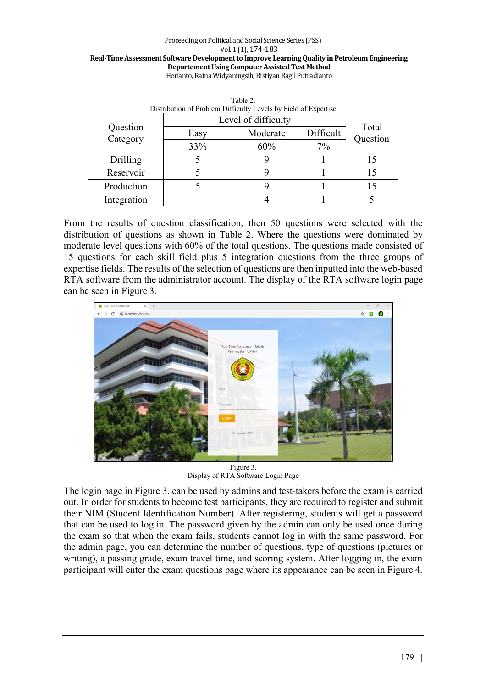#### Proceeding on Political and Social Science Series (PSS) Vol. 1 (1), 174-183 Real-Time Assessment Software Development to Improve Learning Quality in Petroleum Engineering **Departement Using Computer Assisted Test Method** Herianto, Ratna Widyaningsih, Ristiyan Ragil Putradianto

| Distribution of Problem Difficulty Levels by Field of Expertise |                     |          |           |                   |
|-----------------------------------------------------------------|---------------------|----------|-----------|-------------------|
| Question<br>Category                                            | Level of difficulty |          |           |                   |
|                                                                 | Easy                | Moderate | Difficult | Total<br>Question |
|                                                                 | 33%                 | 60%      | $7\%$     |                   |
| Drilling                                                        |                     |          |           | 15                |
| Reservoir                                                       |                     |          |           |                   |
| Production                                                      |                     |          |           | 15                |
| Integration                                                     |                     |          |           |                   |

| Table 2.                                                        |
|-----------------------------------------------------------------|
| Distribution of Problem Difficulty Levels by Field of Expertise |
|                                                                 |

From the results of question classification, then 50 questions were selected with the distribution of questions as shown in Table 2. Where the questions were dominated by moderate level questions with 60% of the total questions. The questions made consisted of 15 questions for each skill field plus 5 integration questions from the three groups of expertise fields. The results of the selection of questions are then inputted into the web-based RTA software from the administrator account. The display of the RTA software login page can be seen in Figure 3.



Figure 3. Display of RTA Software Login Page

The login page in Figure 3. can be used by admins and test-takers before the exam is carried out. In order for students to become test participants, they are required to register and submit their NIM (Student Identification Number). After registering, students will get a password that can be used to log in. The password given by the admin can only be used once during the exam so that when the exam fails, students cannot log in with the same password. For the admin page, you can determine the number of questions, type of questions (pictures or writing), a passing grade, exam travel time, and scoring system. After logging in, the exam participant will enter the exam questions page where its appearance can be seen in Figure 4.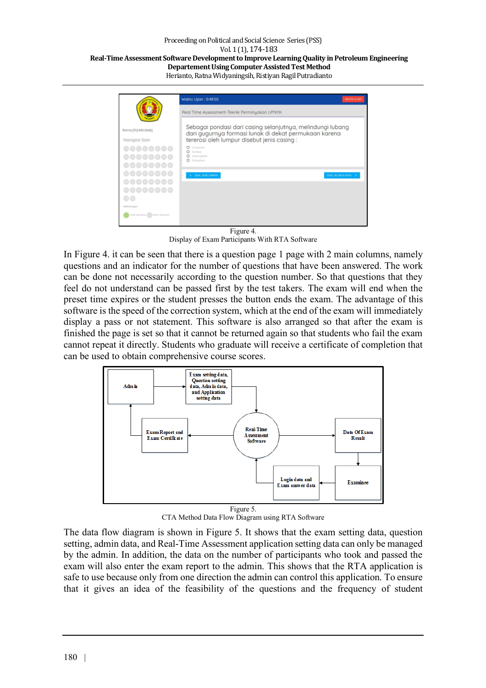#### Proceeding on Political and Social Science Series (PSS) Vol. 1 (1), 174-183 Real-Time Assessment Software Development to Improve Learning Quality in Petroleum Engineering **Departement Using Computer Assisted Test Method** Herianto, Ratna Widyaningsih, Ristiyan Ragil Putradianto

|                                                                                                                     | Waktu Ujian: 0:48:50<br>ANGERI ULIAN                                                                                                                                                                                             |
|---------------------------------------------------------------------------------------------------------------------|----------------------------------------------------------------------------------------------------------------------------------------------------------------------------------------------------------------------------------|
|                                                                                                                     | Real Time Assessment-Teknik Perminyakan UPNYK                                                                                                                                                                                    |
| Rama [012.450.0068]<br>Navigasi Soal<br><br>00000000<br><b>00000000</b>                                             | Sebagai pondasi dari casing selanjutnya, melindungi lubang<br>dari gugurnya formasi lunak di dekat permukaan karena<br>tererosi oleh lumpur disebut jenis casina :<br>O Conductor<br>O Surface<br>C Intermediate<br>O Production |
| <b>00000000</b><br><b>00000000</b><br><b>@@@@@@@</b><br>a a<br>Keterangan<br>Sudah dikerjakan (  ) Belum dikerjakan | SOAL SEBELUMNYA<br>SOAL SELANULITY/VA 3                                                                                                                                                                                          |

Figure 4. Display of Exam Participants With RTA Software

In Figure 4. it can be seen that there is a question page 1 page with 2 main columns, namely questions and an indicator for the number of questions that have been answered. The work can be done not necessarily according to the question number. So that questions that they feel do not understand can be passed first by the test takers. The exam will end when the preset time expires or the student presses the button ends the exam. The advantage of this software is the speed of the correction system, which at the end of the exam will immediately display a pass or not statement. This software is also arranged so that after the exam is finished the page is set so that it cannot be returned again so that students who fail the exam cannot repeat it directly. Students who graduate will receive a certificate of completion that can be used to obtain comprehensive course scores.



CTA Method Data Flow Diagram using RTA Software

The data flow diagram is shown in Figure 5. It shows that the exam setting data, question setting, admin data, and Real-Time Assessment application setting data can only be managed by the admin. In addition, the data on the number of participants who took and passed the exam will also enter the exam report to the admin. This shows that the RTA application is safe to use because only from one direction the admin can control this application. To ensure that it gives an idea of the feasibility of the questions and the frequency of student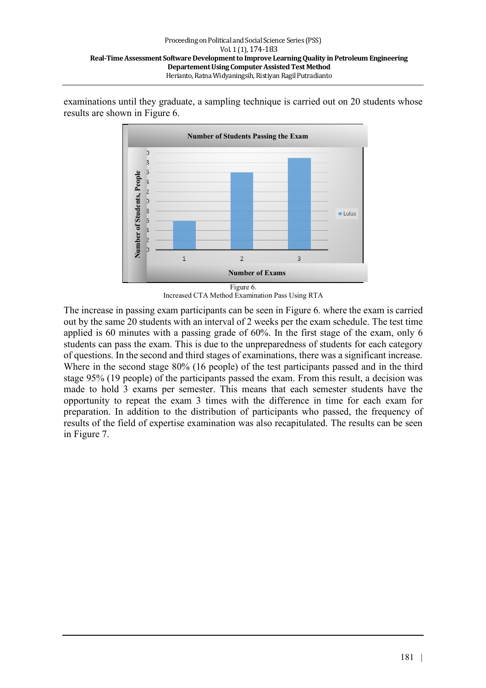examinations until they graduate, a sampling technique is carried out on 20 students whose results are shown in Figure 6.



Increased CTA Method Examination Pass Using RTA

The increase in passing exam participants can be seen in Figure 6. where the exam is carried out by the same 20 students with an interval of 2 weeks per the exam schedule. The test time applied is 60 minutes with a passing grade of 60%. In the first stage of the exam, only 6 students can pass the exam. This is due to the unpreparedness of students for each category of questions. In the second and third stages of examinations, there was a significant increase. Where in the second stage 80% (16 people) of the test participants passed and in the third stage 95% (19 people) of the participants passed the exam. From this result, a decision was made to hold 3 exams per semester. This means that each semester students have the opportunity to repeat the exam 3 times with the difference in time for each exam for preparation. In addition to the distribution of participants who passed, the frequency of results of the field of expertise examination was also recapitulated. The results can be seen in Figure 7.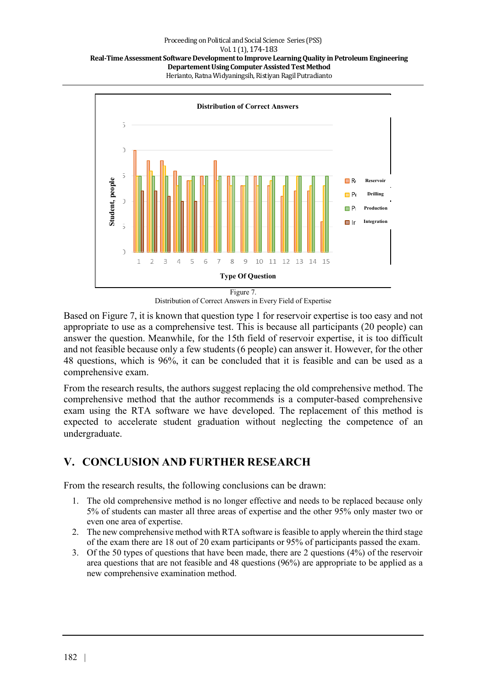

Distribution of Correct Answers in Every Field of Expertise

Based on Figure 7, it is known that question type 1 for reservoir expertise is too easy and not appropriate to use as a comprehensive test. This is because all participants (20 people) can answer the question. Meanwhile, for the 15th field of reservoir expertise, it is too difficult and not feasible because only a few students (6 people) can answer it. However, for the other 48 questions, which is 96%, it can be concluded that it is feasible and can be used as a comprehensive exam.

From the research results, the authors suggest replacing the old comprehensive method. The comprehensive method that the author recommends is a computer-based comprehensive exam using the RTA software we have developed. The replacement of this method is expected to accelerate student graduation without neglecting the competence of an undergraduate.

# **V. CONCLUSION AND FURTHER RESEARCH**

From the research results, the following conclusions can be drawn:

- 1. The old comprehensive method is no longer effective and needs to be replaced because only 5% of students can master all three areas of expertise and the other 95% only master two or even one area of expertise.
- 2. The new comprehensive method with RTA software is feasible to apply wherein the third stage of the exam there are 18 out of 20 exam participants or 95% of participants passed the exam.
- 3. Of the 50 types of questions that have been made, there are 2 questions (4%) of the reservoir area questions that are not feasible and 48 questions (96%) are appropriate to be applied as a new comprehensive examination method.